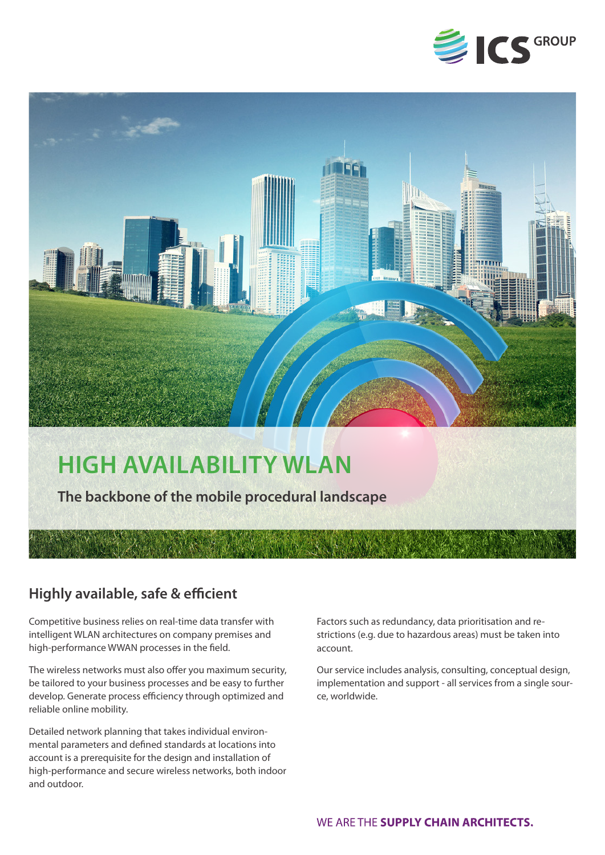



## **Highly available, safe & efficient**

Competitive business relies on real-time data transfer with intelligent WLAN architectures on company premises and high-performance WWAN processes in the field.

The wireless networks must also offer you maximum security, be tailored to your business processes and be easy to further develop. Generate process efficiency through optimized and reliable online mobility.

Detailed network planning that takes individual environmental parameters and defined standards at locations into account is a prerequisite for the design and installation of high-performance and secure wireless networks, both indoor and outdoor.

Factors such as redundancy, data prioritisation and restrictions (e.g. due to hazardous areas) must be taken into account.

Our service includes analysis, consulting, conceptual design, implementation and support - all services from a single source, worldwide.